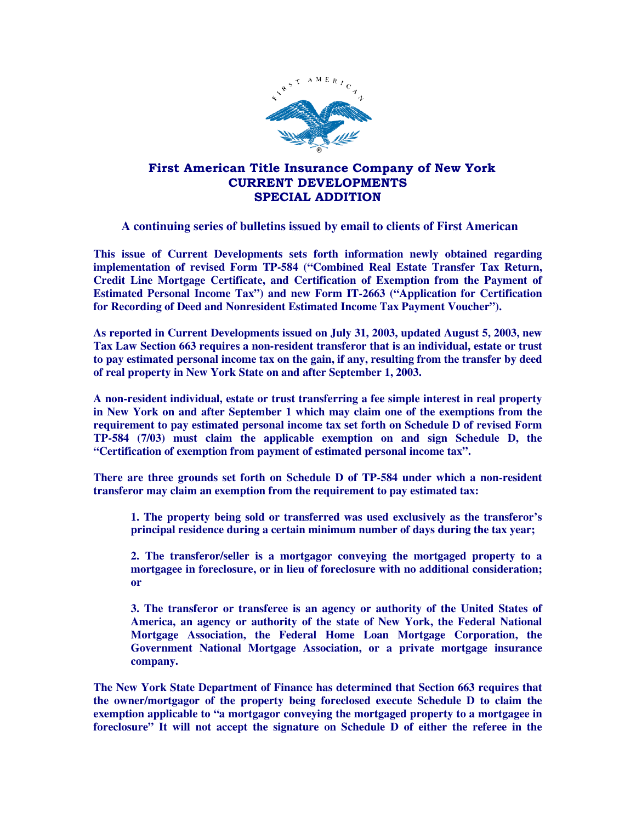

## First American Title Insurance Company of New York CURRENT DEVELOPMENTS SPECIAL ADDITION

## **A continuing series of bulletins issued by email to clients of First American**

**This issue of Current Developments sets forth information newly obtained regarding implementation of revised Form TP-584 ("Combined Real Estate Transfer Tax Return, Credit Line Mortgage Certificate, and Certification of Exemption from the Payment of Estimated Personal Income Tax") and new Form IT-2663 ("Application for Certification for Recording of Deed and Nonresident Estimated Income Tax Payment Voucher").** 

**As reported in Current Developments issued on July 31, 2003, updated August 5, 2003, new Tax Law Section 663 requires a non-resident transferor that is an individual, estate or trust to pay estimated personal income tax on the gain, if any, resulting from the transfer by deed of real property in New York State on and after September 1, 2003.** 

**A non-resident individual, estate or trust transferring a fee simple interest in real property in New York on and after September 1 which may claim one of the exemptions from the requirement to pay estimated personal income tax set forth on Schedule D of revised Form TP-584 (7/03) must claim the applicable exemption on and sign Schedule D, the "Certification of exemption from payment of estimated personal income tax".** 

**There are three grounds set forth on Schedule D of TP-584 under which a non-resident transferor may claim an exemption from the requirement to pay estimated tax:** 

**1. The property being sold or transferred was used exclusively as the transferor's principal residence during a certain minimum number of days during the tax year;** 

**2. The transferor/seller is a mortgagor conveying the mortgaged property to a mortgagee in foreclosure, or in lieu of foreclosure with no additional consideration; or** 

**3. The transferor or transferee is an agency or authority of the United States of America, an agency or authority of the state of New York, the Federal National Mortgage Association, the Federal Home Loan Mortgage Corporation, the Government National Mortgage Association, or a private mortgage insurance company.** 

**The New York State Department of Finance has determined that Section 663 requires that the owner/mortgagor of the property being foreclosed execute Schedule D to claim the exemption applicable to "a mortgagor conveying the mortgaged property to a mortgagee in foreclosure" It will not accept the signature on Schedule D of either the referee in the**